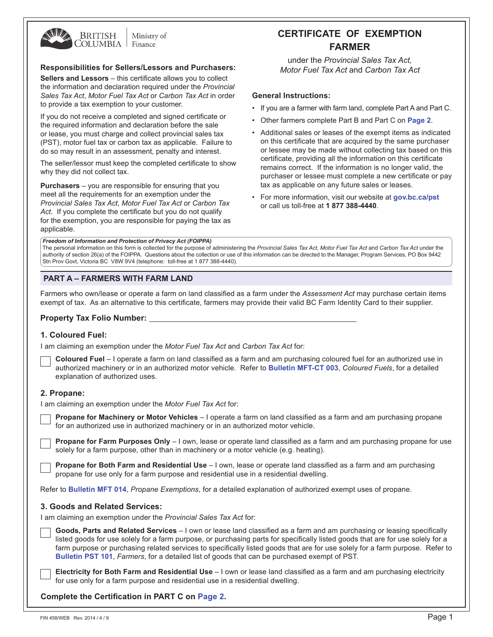

Ministry of Finance

#### **Responsibilities for Sellers/Lessors and Purchasers:**

**Sellers and Lessors** – this certificate allows you to collect the information and declaration required under the *Provincial Sales Tax Act*, *Motor Fuel Tax Act* or *Carbon Tax Act* in order to provide a tax exemption to your customer.

If you do not receive a completed and signed certificate or the required information and declaration before the sale or lease, you must charge and collect provincial sales tax (PST), motor fuel tax or carbon tax as applicable. Failure to do so may result in an assessment, penalty and interest.

The seller/lessor must keep the completed certificate to show why they did not collect tax.

**Purchasers** – you are responsible for ensuring that you meet all the requirements for an exemption under the *Provincial Sales Tax Act*, *Motor Fuel Tax Act* or *Carbon Tax Act*. If you complete the certificate but you do not qualify for the exemption, you are responsible for paying the tax as applicable.

# **Certificate of exemption fARMER**

under the *Provincial Sales Tax Act, Motor Fuel Tax Act* and *Carbon Tax Act*

## **General Instructions:**

- If you are a farmer with farm land, complete Part A and Part C.
- Other farmers complete Part B and Part C on **[Page 2](#page-1-0)**.
- Additional sales or leases of the exempt items as indicated on this certificate that are acquired by the same purchaser or lessee may be made without collecting tax based on this certificate, providing all the information on this certificate remains correct. If the information is no longer valid, the purchaser or lessee must complete a new certificate or pay tax as applicable on any future sales or leases.
- For more information, visit our website at **gov.bc.ca/pst** or call us toll-free at **1 877 388-4440**.

*Freedom of Information and Protection of Privacy Act (FOIPPA)*

The personal information on this form is collected for the purpose of administering the *Provincial Sales Tax Act*, *Motor Fuel Tax Act* and *Carbon Tax Act* under the authority of section 26(a) of the FOIPPA. Questions about the collection or use of this information can be directed to the Manager, Program Services, PO Box 9442 Stn Prov Govt, Victoria BC V8W 9V4 (telephone: toll-free at 1 877 388-4440).

# **PART A – farmers with farm land**

Farmers who own/lease or operate a farm on land classified as a farm under the *Assessment Act* may purchase certain items exempt of tax. As an alternative to this certificate, farmers may provide their valid BC Farm Identity Card to their supplier.

## **Property Tax Folio Number:**

## **1. Coloured Fuel:**

I am claiming an exemption under the *Motor Fuel Tax Act* and *Carbon Tax Act* for:

| <b>Coloured Fuel</b> – I operate a farm on land classified as a farm and am purchasing coloured fuel for an authorized use in |
|-------------------------------------------------------------------------------------------------------------------------------|
| authorized machinery or in an authorized motor vehicle. Refer to Bulletin MFT-CT 003, Coloured Fuels, for a detailed          |
| explanation of authorized uses.                                                                                               |

## **2. Propane:**

I am claiming an exemption under the *Motor Fuel Tax Act* for:

**Propane for Machinery or Motor Vehicles** – I operate a farm on land classified as a farm and am purchasing propane for an authorized use in authorized machinery or in an authorized motor vehicle.

**Propane for Farm Purposes Only** – I own, lease or operate land classified as a farm and am purchasing propane for use solely for a farm purpose, other than in machinery or a motor vehicle (e.g. heating).

**Propane for Both Farm and Residential Use** – I own, lease or operate land classified as a farm and am purchasing propane for use only for a farm purpose and residential use in a residential dwelling.

Refer to **Bulletin MFT 014**, *Propane Exemptions*, for a detailed explanation of authorized exempt uses of propane.

## **3. Goods and Related Services:**

I am claiming an exemption under the *Provincial Sales Tax Act* for:

| Goods, Parts and Related Services – I own or lease land classified as a farm and am purchasing or leasing specifically          |
|---------------------------------------------------------------------------------------------------------------------------------|
| listed goods for use solely for a farm purpose, or purchasing parts for specifically listed goods that are for use solely for a |
| farm purpose or purchasing related services to specifically listed goods that are for use solely for a farm purpose. Refer to   |
| <b>Bulletin PST 101, Farmers, for a detailed list of goods that can be purchased exempt of PST.</b>                             |

**Electricity for Both Farm and Residential Use** – I own or lease land classified as a farm and am purchasing electricity for use only for a farm purpose and residential use in a residential dwelling.

**Complete the Certification in PART C on [Page 2.](#page-1-0)**